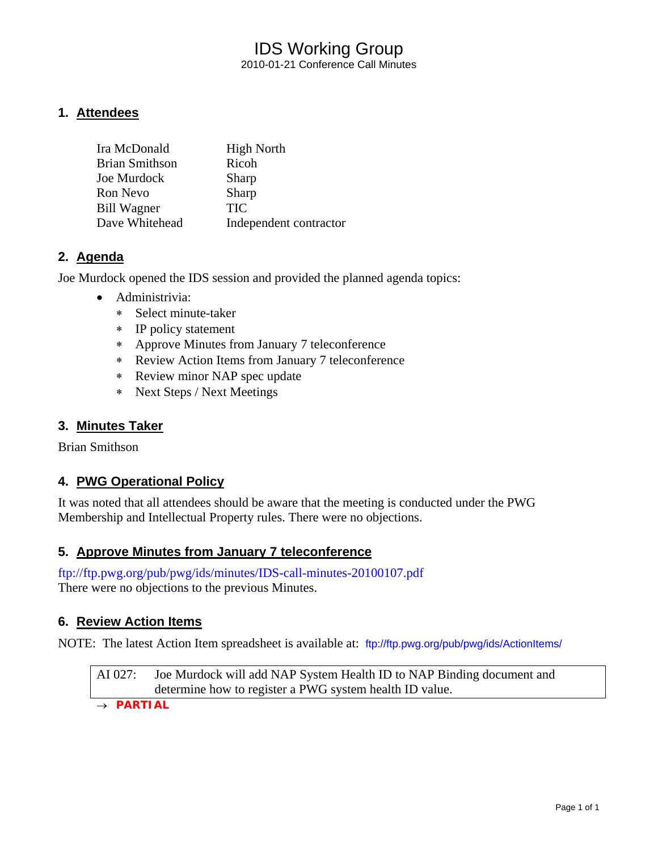### IDS Working Group 2010-01-21 Conference Call Minutes

### **1. Attendees**

| Ira McDonald          | <b>High North</b>      |
|-----------------------|------------------------|
| <b>Brian Smithson</b> | Ricoh                  |
| Joe Murdock           | Sharp                  |
| Ron Nevo              | Sharp                  |
| <b>Bill Wagner</b>    | <b>TIC</b>             |
| Dave Whitehead        | Independent contractor |

### **2. Agenda**

Joe Murdock opened the IDS session and provided the planned agenda topics:

- Administrivia:
	- ∗ Select minute-taker
	- ∗ IP policy statement
	- ∗ Approve Minutes from January 7 teleconference
	- ∗ Review Action Items from January 7 teleconference
	- ∗ Review minor NAP spec update
	- ∗ Next Steps / Next Meetings

#### **3. Minutes Taker**

Brian Smithson

### **4. PWG Operational Policy**

It was noted that all attendees should be aware that the meeting is conducted under the PWG Membership and Intellectual Property rules. There were no objections.

### **5. Approve Minutes from January 7 teleconference**

<ftp://ftp.pwg.org/pub/pwg/ids/minutes/IDS-call-minutes-20100107.pdf> There were no objections to the previous Minutes.

### **6. Review Action Items**

NOTE: The latest Action Item spreadsheet is available at: <ftp://ftp.pwg.org/pub/pwg/ids/ActionItems/>

AI 027: Joe Murdock will add NAP System Health ID to NAP Binding document and determine how to register a PWG system health ID value.

→ *PARTIAL*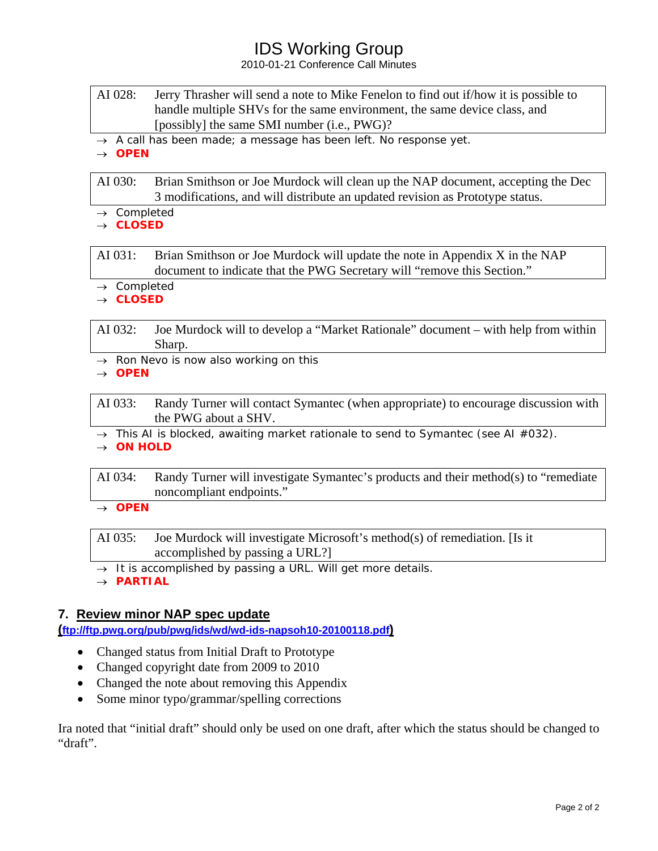## IDS Working Group

2010-01-21 Conference Call Minutes

- AI 028: Jerry Thrasher will send a note to Mike Fenelon to find out if/how it is possible to handle multiple SHVs for the same environment, the same device class, and [possibly] the same SMI number (i.e., PWG)?
- → *A call has been made; a message has been left. No response yet.*

→ *OPEN* 

AI 030: Brian Smithson or Joe Murdock will clean up the NAP document, accepting the Dec 3 modifications, and will distribute an updated revision as Prototype status.

- → *Completed*
- → *CLOSED*

AI 031: Brian Smithson or Joe Murdock will update the note in Appendix X in the NAP document to indicate that the PWG Secretary will "remove this Section."

→ *Completed*

→ *CLOSED* 

AI 032: Joe Murdock will to develop a "Market Rationale" document – with help from within Sharp.

→ *Ron Nevo is now also working on this*

→ *OPEN* 

AI 033: Randy Turner will contact Symantec (when appropriate) to encourage discussion with the PWG about a SHV.

→ *This AI is blocked, awaiting market rationale to send to Symantec (see AI #032).* → *ON HOLD* 

AI 034: Randy Turner will investigate Symantec's products and their method(s) to "remediate noncompliant endpoints."

→ *OPEN* 

AI 035: Joe Murdock will investigate Microsoft's method(s) of remediation. [Is it accomplished by passing a URL?]

→ *It is accomplished by passing a URL. Will get more details.*

→ *PARTIAL* 

### **7. Review minor NAP spec update**

**([ftp://ftp.pwg.org/pub/pwg/ids/wd/wd-ids-napsoh10-20100118.pdf\)](ftp://ftp.pwg.org/pub/pwg/ids/wd/wd-ids-napsoh10-20100118.pdf)**

- Changed status from Initial Draft to Prototype
- Changed copyright date from 2009 to 2010
- Changed the note about removing this Appendix
- Some minor typo/grammar/spelling corrections

Ira noted that "initial draft" should only be used on one draft, after which the status should be changed to "draft".